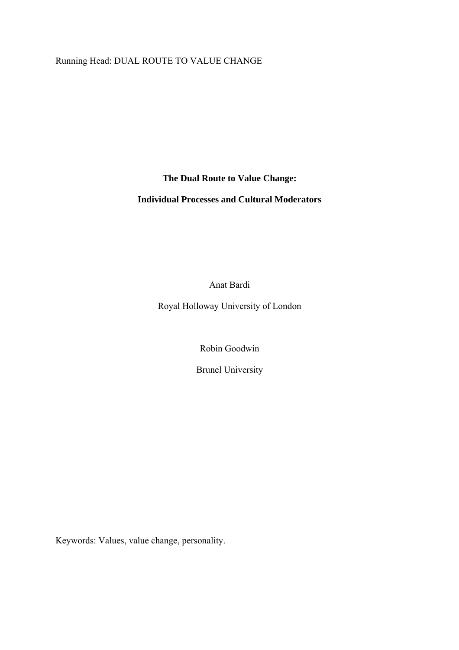## Running Head: DUAL ROUTE TO VALUE CHANGE

**The Dual Route to Value Change:** 

### **Individual Processes and Cultural Moderators**

Anat Bardi

Royal Holloway University of London

Robin Goodwin

Brunel University

Keywords: Values, value change, personality.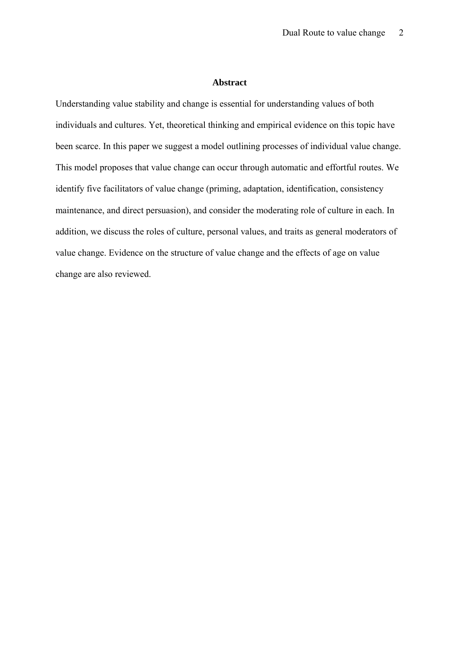#### **Abstract**

Understanding value stability and change is essential for understanding values of both individuals and cultures. Yet, theoretical thinking and empirical evidence on this topic have been scarce. In this paper we suggest a model outlining processes of individual value change. This model proposes that value change can occur through automatic and effortful routes. We identify five facilitators of value change (priming, adaptation, identification, consistency maintenance, and direct persuasion), and consider the moderating role of culture in each. In addition, we discuss the roles of culture, personal values, and traits as general moderators of value change. Evidence on the structure of value change and the effects of age on value change are also reviewed.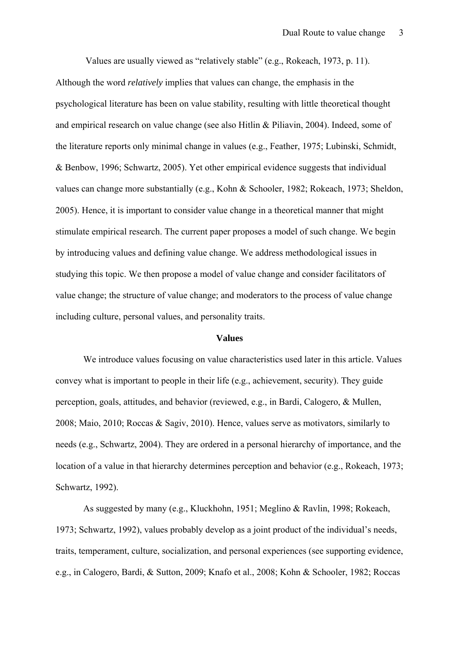Values are usually viewed as "relatively stable" (e.g., Rokeach, 1973, p. 11). Although the word *relatively* implies that values can change, the emphasis in the psychological literature has been on value stability, resulting with little theoretical thought and empirical research on value change (see also Hitlin & Piliavin, 2004). Indeed, some of the literature reports only minimal change in values (e.g., Feather, 1975; Lubinski, Schmidt, & Benbow, 1996; Schwartz, 2005). Yet other empirical evidence suggests that individual values can change more substantially (e.g., Kohn & Schooler, 1982; Rokeach, 1973; Sheldon, 2005). Hence, it is important to consider value change in a theoretical manner that might stimulate empirical research. The current paper proposes a model of such change. We begin by introducing values and defining value change. We address methodological issues in studying this topic. We then propose a model of value change and consider facilitators of value change; the structure of value change; and moderators to the process of value change including culture, personal values, and personality traits.

#### **Values**

 We introduce values focusing on value characteristics used later in this article. Values convey what is important to people in their life (e.g., achievement, security). They guide perception, goals, attitudes, and behavior (reviewed, e.g., in Bardi, Calogero, & Mullen, 2008; Maio, 2010; Roccas & Sagiv, 2010). Hence, values serve as motivators, similarly to needs (e.g., Schwartz, 2004). They are ordered in a personal hierarchy of importance, and the location of a value in that hierarchy determines perception and behavior (e.g., Rokeach, 1973; Schwartz, 1992).

 As suggested by many (e.g., Kluckhohn, 1951; Meglino & Ravlin, 1998; Rokeach, 1973; Schwartz, 1992), values probably develop as a joint product of the individual's needs, traits, temperament, culture, socialization, and personal experiences (see supporting evidence, e.g., in Calogero, Bardi, & Sutton, 2009; Knafo et al., 2008; Kohn & Schooler, 1982; Roccas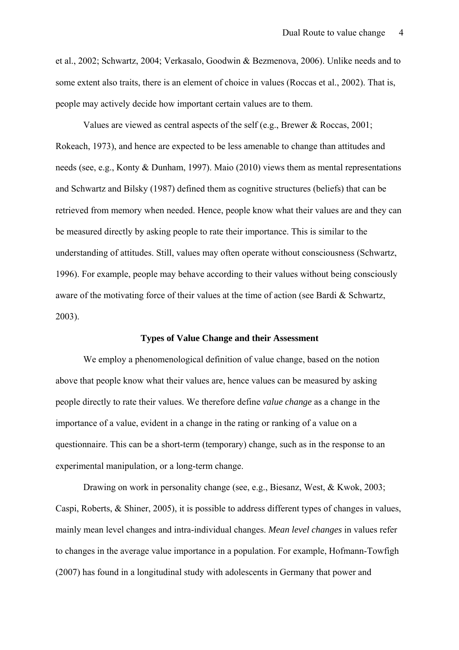et al., 2002; Schwartz, 2004; Verkasalo, Goodwin & Bezmenova, 2006). Unlike needs and to some extent also traits, there is an element of choice in values (Roccas et al., 2002). That is, people may actively decide how important certain values are to them.

 Values are viewed as central aspects of the self (e.g., Brewer & Roccas, 2001; Rokeach, 1973), and hence are expected to be less amenable to change than attitudes and needs (see, e.g., Konty & Dunham, 1997). Maio (2010) views them as mental representations and Schwartz and Bilsky (1987) defined them as cognitive structures (beliefs) that can be retrieved from memory when needed. Hence, people know what their values are and they can be measured directly by asking people to rate their importance. This is similar to the understanding of attitudes. Still, values may often operate without consciousness (Schwartz, 1996). For example, people may behave according to their values without being consciously aware of the motivating force of their values at the time of action (see Bardi & Schwartz, 2003).

#### **Types of Value Change and their Assessment**

We employ a phenomenological definition of value change, based on the notion above that people know what their values are, hence values can be measured by asking people directly to rate their values. We therefore define *value change* as a change in the importance of a value, evident in a change in the rating or ranking of a value on a questionnaire. This can be a short-term (temporary) change, such as in the response to an experimental manipulation, or a long-term change.

 Drawing on work in personality change (see, e.g., Biesanz, West, & Kwok, 2003; Caspi, Roberts, & Shiner, 2005), it is possible to address different types of changes in values, mainly mean level changes and intra-individual changes. *Mean level changes* in values refer to changes in the average value importance in a population. For example, Hofmann-Towfigh (2007) has found in a longitudinal study with adolescents in Germany that power and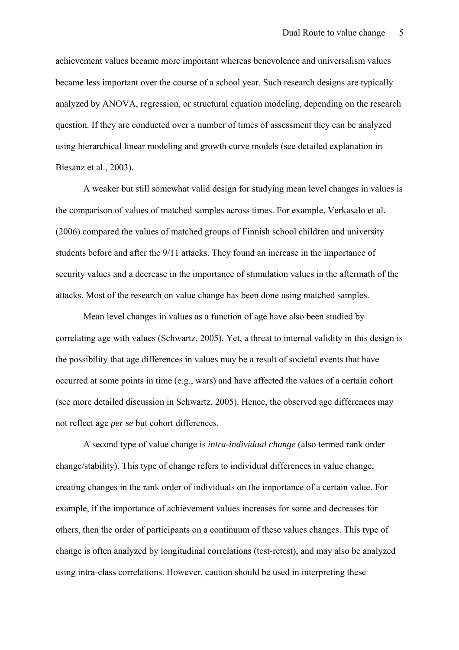achievement values became more important whereas benevolence and universalism values became less important over the course of a school year. Such research designs are typically analyzed by ANOVA, regression, or structural equation modeling, depending on the research question. If they are conducted over a number of times of assessment they can be analyzed using hierarchical linear modeling and growth curve models (see detailed explanation in Biesanz et al., 2003).

A weaker but still somewhat valid design for studying mean level changes in values is the comparison of values of matched samples across times. For example, Verkasalo et al. (2006) compared the values of matched groups of Finnish school children and university students before and after the 9/11 attacks. They found an increase in the importance of security values and a decrease in the importance of stimulation values in the aftermath of the attacks. Most of the research on value change has been done using matched samples.

 Mean level changes in values as a function of age have also been studied by correlating age with values (Schwartz, 2005). Yet, a threat to internal validity in this design is the possibility that age differences in values may be a result of societal events that have occurred at some points in time (e.g., wars) and have affected the values of a certain cohort (see more detailed discussion in Schwartz, 2005). Hence, the observed age differences may not reflect age *per se* but cohort differences.

A second type of value change is *intra-individual change* (also termed rank order change/stability). This type of change refers to individual differences in value change, creating changes in the rank order of individuals on the importance of a certain value. For example, if the importance of achievement values increases for some and decreases for others, then the order of participants on a continuum of these values changes. This type of change is often analyzed by longitudinal correlations (test-retest), and may also be analyzed using intra-class correlations. However, caution should be used in interpreting these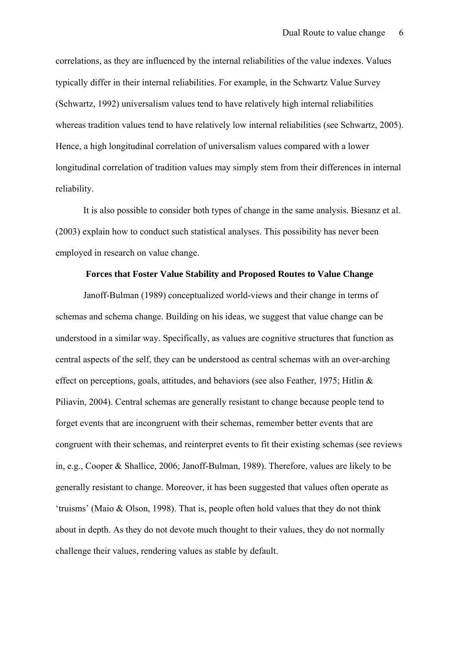correlations, as they are influenced by the internal reliabilities of the value indexes. Values typically differ in their internal reliabilities. For example, in the Schwartz Value Survey (Schwartz, 1992) universalism values tend to have relatively high internal reliabilities whereas tradition values tend to have relatively low internal reliabilities (see Schwartz, 2005). Hence, a high longitudinal correlation of universalism values compared with a lower longitudinal correlation of tradition values may simply stem from their differences in internal reliability.

It is also possible to consider both types of change in the same analysis. Biesanz et al. (2003) explain how to conduct such statistical analyses. This possibility has never been employed in research on value change.

#### **Forces that Foster Value Stability and Proposed Routes to Value Change**

 Janoff-Bulman (1989) conceptualized world-views and their change in terms of schemas and schema change. Building on his ideas, we suggest that value change can be understood in a similar way. Specifically, as values are cognitive structures that function as central aspects of the self, they can be understood as central schemas with an over-arching effect on perceptions, goals, attitudes, and behaviors (see also Feather, 1975; Hitlin & Piliavin, 2004). Central schemas are generally resistant to change because people tend to forget events that are incongruent with their schemas, remember better events that are congruent with their schemas, and reinterpret events to fit their existing schemas (see reviews in, e.g., Cooper & Shallice, 2006; Janoff-Bulman, 1989). Therefore, values are likely to be generally resistant to change. Moreover, it has been suggested that values often operate as 'truisms' (Maio & Olson, 1998). That is, people often hold values that they do not think about in depth. As they do not devote much thought to their values, they do not normally challenge their values, rendering values as stable by default.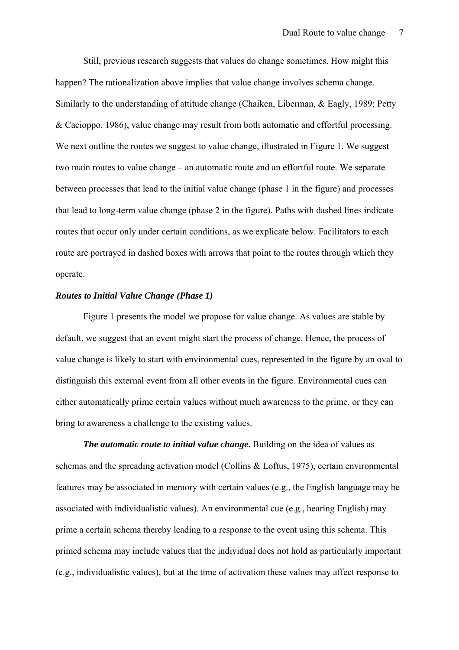Still, previous research suggests that values do change sometimes. How might this happen? The rationalization above implies that value change involves schema change. Similarly to the understanding of attitude change (Chaiken, Liberman, & Eagly, 1989; Petty & Cacioppo, 1986), value change may result from both automatic and effortful processing. We next outline the routes we suggest to value change, illustrated in Figure 1. We suggest two main routes to value change – an automatic route and an effortful route. We separate between processes that lead to the initial value change (phase 1 in the figure) and processes that lead to long-term value change (phase 2 in the figure). Paths with dashed lines indicate routes that occur only under certain conditions, as we explicate below. Facilitators to each route are portrayed in dashed boxes with arrows that point to the routes through which they operate.

#### *Routes to Initial Value Change (Phase 1)*

 Figure 1 presents the model we propose for value change. As values are stable by default, we suggest that an event might start the process of change. Hence, the process of value change is likely to start with environmental cues, represented in the figure by an oval to distinguish this external event from all other events in the figure. Environmental cues can either automatically prime certain values without much awareness to the prime, or they can bring to awareness a challenge to the existing values.

*The automatic route to initial value change***.** Building on the idea of values as schemas and the spreading activation model (Collins & Loftus, 1975), certain environmental features may be associated in memory with certain values (e.g., the English language may be associated with individualistic values). An environmental cue (e.g., hearing English) may prime a certain schema thereby leading to a response to the event using this schema. This primed schema may include values that the individual does not hold as particularly important (e.g., individualistic values), but at the time of activation these values may affect response to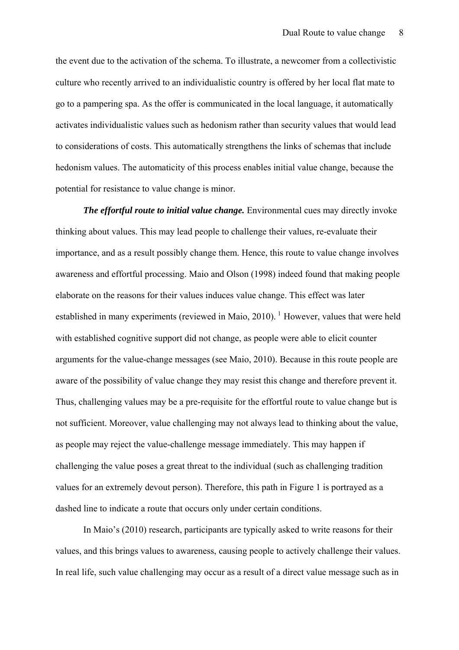the event due to the activation of the schema. To illustrate, a newcomer from a collectivistic culture who recently arrived to an individualistic country is offered by her local flat mate to go to a pampering spa. As the offer is communicated in the local language, it automatically activates individualistic values such as hedonism rather than security values that would lead to considerations of costs. This automatically strengthens the links of schemas that include hedonism values. The automaticity of this process enables initial value change, because the potential for resistance to value change is minor.

*The effortful route to initial value change.* Environmental cues may directly invoke thinking about values. This may lead people to challenge their values, re-evaluate their importance, and as a result possibly change them. Hence, this route to value change involves awareness and effortful processing. Maio and Olson (1998) indeed found that making people elaborate on the reasons for their values induces value change. This effect was later established in many experiments (reviewed in Maio, 20[1](#page-38-0)0).  $\frac{1}{1}$  However, values that were held with established cognitive support did not change, as people were able to elicit counter arguments for the value-change messages (see Maio, 2010). Because in this route people are aware of the possibility of value change they may resist this change and therefore prevent it. Thus, challenging values may be a pre-requisite for the effortful route to value change but is not sufficient. Moreover, value challenging may not always lead to thinking about the value, as people may reject the value-challenge message immediately. This may happen if challenging the value poses a great threat to the individual (such as challenging tradition values for an extremely devout person). Therefore, this path in Figure 1 is portrayed as a dashed line to indicate a route that occurs only under certain conditions.

In Maio's (2010) research, participants are typically asked to write reasons for their values, and this brings values to awareness, causing people to actively challenge their values. In real life, such value challenging may occur as a result of a direct value message such as in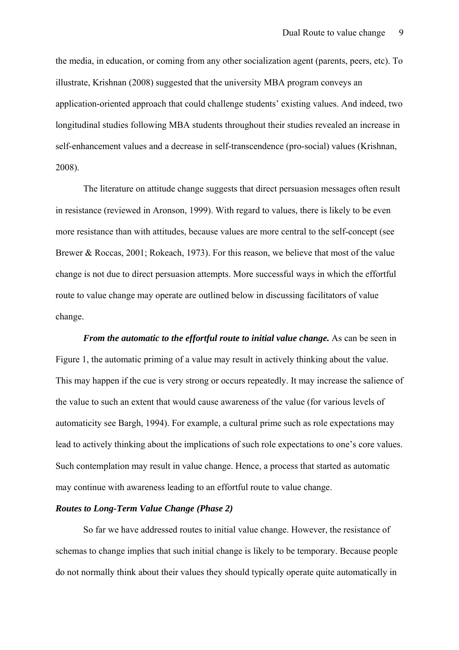the media, in education, or coming from any other socialization agent (parents, peers, etc). To illustrate, Krishnan (2008) suggested that the university MBA program conveys an application-oriented approach that could challenge students' existing values. And indeed, two longitudinal studies following MBA students throughout their studies revealed an increase in self-enhancement values and a decrease in self-transcendence (pro-social) values (Krishnan, 2008).

The literature on attitude change suggests that direct persuasion messages often result in resistance (reviewed in Aronson, 1999). With regard to values, there is likely to be even more resistance than with attitudes, because values are more central to the self-concept (see Brewer & Roccas, 2001; Rokeach, 1973). For this reason, we believe that most of the value change is not due to direct persuasion attempts. More successful ways in which the effortful route to value change may operate are outlined below in discussing facilitators of value change.

# *From the automatic to the effortful route to initial value change.* As can be seen in Figure 1, the automatic priming of a value may result in actively thinking about the value. This may happen if the cue is very strong or occurs repeatedly. It may increase the salience of the value to such an extent that would cause awareness of the value (for various levels of automaticity see Bargh, 1994). For example, a cultural prime such as role expectations may lead to actively thinking about the implications of such role expectations to one's core values. Such contemplation may result in value change. Hence, a process that started as automatic may continue with awareness leading to an effortful route to value change.

#### *Routes to Long-Term Value Change (Phase 2)*

 So far we have addressed routes to initial value change. However, the resistance of schemas to change implies that such initial change is likely to be temporary. Because people do not normally think about their values they should typically operate quite automatically in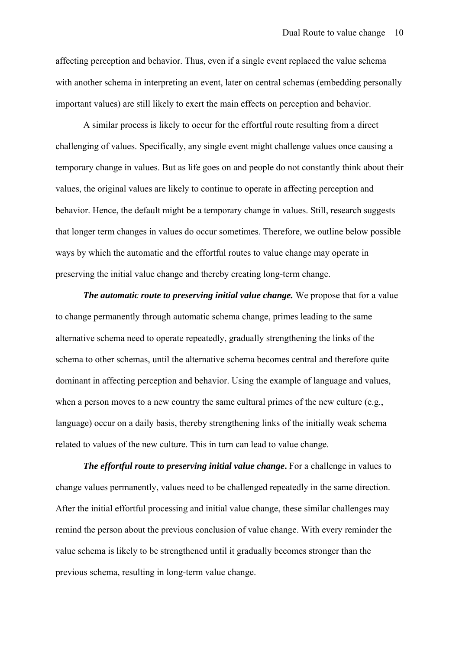affecting perception and behavior. Thus, even if a single event replaced the value schema with another schema in interpreting an event, later on central schemas (embedding personally important values) are still likely to exert the main effects on perception and behavior.

A similar process is likely to occur for the effortful route resulting from a direct challenging of values. Specifically, any single event might challenge values once causing a temporary change in values. But as life goes on and people do not constantly think about their values, the original values are likely to continue to operate in affecting perception and behavior. Hence, the default might be a temporary change in values. Still, research suggests that longer term changes in values do occur sometimes. Therefore, we outline below possible ways by which the automatic and the effortful routes to value change may operate in preserving the initial value change and thereby creating long-term change.

*The automatic route to preserving initial value change.* We propose that for a value to change permanently through automatic schema change, primes leading to the same alternative schema need to operate repeatedly, gradually strengthening the links of the schema to other schemas, until the alternative schema becomes central and therefore quite dominant in affecting perception and behavior. Using the example of language and values, when a person moves to a new country the same cultural primes of the new culture (e.g., language) occur on a daily basis, thereby strengthening links of the initially weak schema related to values of the new culture. This in turn can lead to value change.

*The effortful route to preserving initial value change***.** For a challenge in values to change values permanently, values need to be challenged repeatedly in the same direction. After the initial effortful processing and initial value change, these similar challenges may remind the person about the previous conclusion of value change. With every reminder the value schema is likely to be strengthened until it gradually becomes stronger than the previous schema, resulting in long-term value change.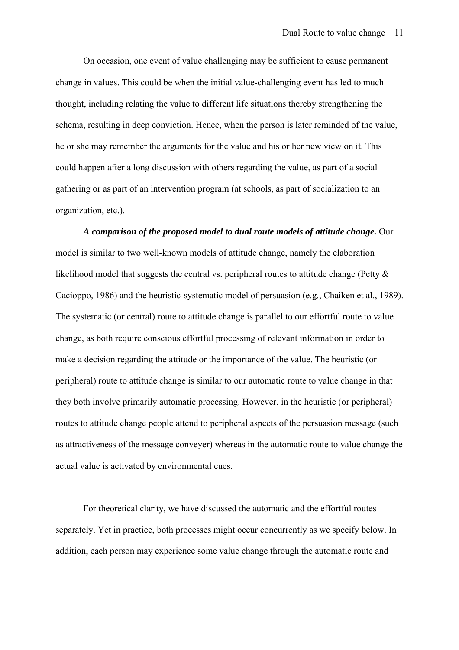On occasion, one event of value challenging may be sufficient to cause permanent change in values. This could be when the initial value-challenging event has led to much thought, including relating the value to different life situations thereby strengthening the schema, resulting in deep conviction. Hence, when the person is later reminded of the value, he or she may remember the arguments for the value and his or her new view on it. This could happen after a long discussion with others regarding the value, as part of a social gathering or as part of an intervention program (at schools, as part of socialization to an organization, etc.).

*A comparison of the proposed model to dual route models of attitude change.* Our model is similar to two well-known models of attitude change, namely the elaboration likelihood model that suggests the central vs. peripheral routes to attitude change (Petty  $\&$ Cacioppo, 1986) and the heuristic-systematic model of persuasion (e.g., Chaiken et al., 1989). The systematic (or central) route to attitude change is parallel to our effortful route to value change, as both require conscious effortful processing of relevant information in order to make a decision regarding the attitude or the importance of the value. The heuristic (or peripheral) route to attitude change is similar to our automatic route to value change in that they both involve primarily automatic processing. However, in the heuristic (or peripheral) routes to attitude change people attend to peripheral aspects of the persuasion message (such as attractiveness of the message conveyer) whereas in the automatic route to value change the actual value is activated by environmental cues.

For theoretical clarity, we have discussed the automatic and the effortful routes separately. Yet in practice, both processes might occur concurrently as we specify below. In addition, each person may experience some value change through the automatic route and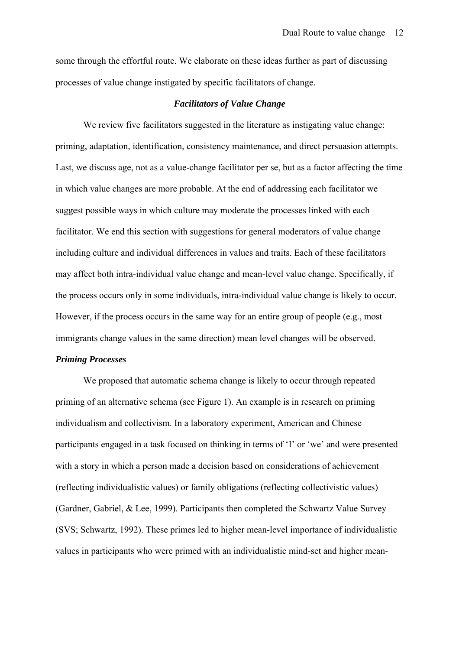some through the effortful route. We elaborate on these ideas further as part of discussing processes of value change instigated by specific facilitators of change.

#### *Facilitators of Value Change*

We review five facilitators suggested in the literature as instigating value change: priming, adaptation, identification, consistency maintenance, and direct persuasion attempts. Last, we discuss age, not as a value-change facilitator per se, but as a factor affecting the time in which value changes are more probable. At the end of addressing each facilitator we suggest possible ways in which culture may moderate the processes linked with each facilitator. We end this section with suggestions for general moderators of value change including culture and individual differences in values and traits. Each of these facilitators may affect both intra-individual value change and mean-level value change. Specifically, if the process occurs only in some individuals, intra-individual value change is likely to occur. However, if the process occurs in the same way for an entire group of people (e.g., most immigrants change values in the same direction) mean level changes will be observed.

#### *Priming Processes*

We proposed that automatic schema change is likely to occur through repeated priming of an alternative schema (see Figure 1). An example is in research on priming individualism and collectivism. In a laboratory experiment, American and Chinese participants engaged in a task focused on thinking in terms of 'I' or 'we' and were presented with a story in which a person made a decision based on considerations of achievement (reflecting individualistic values) or family obligations (reflecting collectivistic values) (Gardner, Gabriel, & Lee, 1999). Participants then completed the Schwartz Value Survey (SVS; Schwartz, 1992). These primes led to higher mean-level importance of individualistic values in participants who were primed with an individualistic mind-set and higher mean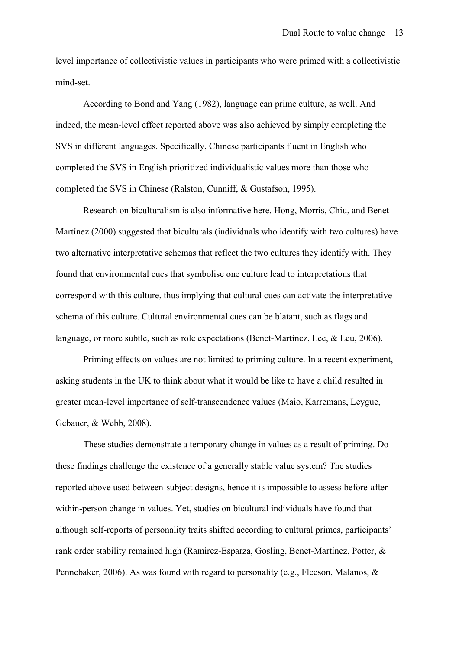level importance of collectivistic values in participants who were primed with a collectivistic mind-set.

According to Bond and Yang (1982), language can prime culture, as well. And indeed, the mean-level effect reported above was also achieved by simply completing the SVS in different languages. Specifically, Chinese participants fluent in English who completed the SVS in English prioritized individualistic values more than those who completed the SVS in Chinese (Ralston, Cunniff, & Gustafson, 1995).

Research on biculturalism is also informative here. Hong, Morris, Chiu, and Benet-Martínez (2000) suggested that biculturals (individuals who identify with two cultures) have two alternative interpretative schemas that reflect the two cultures they identify with. They found that environmental cues that symbolise one culture lead to interpretations that correspond with this culture, thus implying that cultural cues can activate the interpretative schema of this culture. Cultural environmental cues can be blatant, such as flags and language, or more subtle, such as role expectations (Benet-Martínez, Lee, & Leu, 2006).

Priming effects on values are not limited to priming culture. In a recent experiment, asking students in the UK to think about what it would be like to have a child resulted in greater mean-level importance of self-transcendence values (Maio, Karremans, Leygue, Gebauer, & Webb, 2008).

These studies demonstrate a temporary change in values as a result of priming. Do these findings challenge the existence of a generally stable value system? The studies reported above used between-subject designs, hence it is impossible to assess before-after within-person change in values. Yet, studies on bicultural individuals have found that although self-reports of personality traits shifted according to cultural primes, participants' rank order stability remained high (Ramirez-Esparza, Gosling, Benet-Martínez, Potter, & Pennebaker, 2006). As was found with regard to personality (e.g., Fleeson, Malanos, &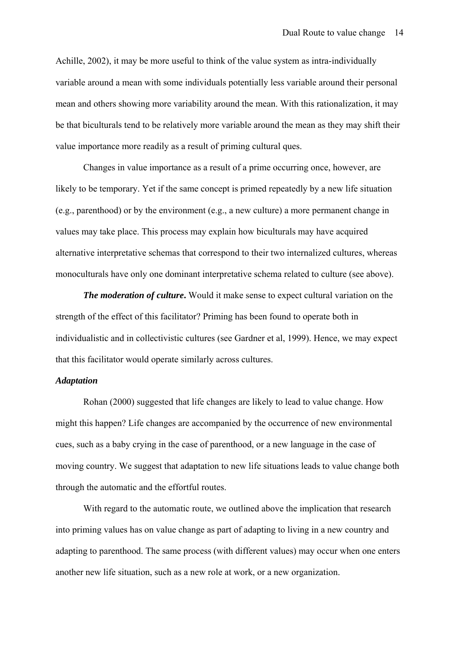Achille, 2002), it may be more useful to think of the value system as intra-individually variable around a mean with some individuals potentially less variable around their personal mean and others showing more variability around the mean. With this rationalization, it may be that biculturals tend to be relatively more variable around the mean as they may shift their value importance more readily as a result of priming cultural ques.

Changes in value importance as a result of a prime occurring once, however, are likely to be temporary. Yet if the same concept is primed repeatedly by a new life situation (e.g., parenthood) or by the environment (e.g., a new culture) a more permanent change in values may take place. This process may explain how biculturals may have acquired alternative interpretative schemas that correspond to their two internalized cultures, whereas monoculturals have only one dominant interpretative schema related to culture (see above).

*The moderation of culture***.** Would it make sense to expect cultural variation on the strength of the effect of this facilitator? Priming has been found to operate both in individualistic and in collectivistic cultures (see Gardner et al, 1999). Hence, we may expect that this facilitator would operate similarly across cultures.

#### *Adaptation*

Rohan (2000) suggested that life changes are likely to lead to value change. How might this happen? Life changes are accompanied by the occurrence of new environmental cues, such as a baby crying in the case of parenthood, or a new language in the case of moving country. We suggest that adaptation to new life situations leads to value change both through the automatic and the effortful routes.

With regard to the automatic route, we outlined above the implication that research into priming values has on value change as part of adapting to living in a new country and adapting to parenthood. The same process (with different values) may occur when one enters another new life situation, such as a new role at work, or a new organization.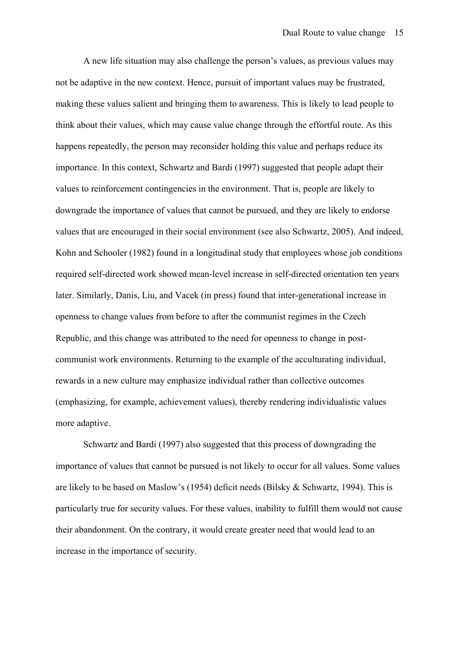A new life situation may also challenge the person's values, as previous values may not be adaptive in the new context. Hence, pursuit of important values may be frustrated, making these values salient and bringing them to awareness. This is likely to lead people to think about their values, which may cause value change through the effortful route. As this happens repeatedly, the person may reconsider holding this value and perhaps reduce its importance. In this context, Schwartz and Bardi (1997) suggested that people adapt their values to reinforcement contingencies in the environment. That is, people are likely to downgrade the importance of values that cannot be pursued, and they are likely to endorse values that are encouraged in their social environment (see also Schwartz, 2005). And indeed, Kohn and Schooler (1982) found in a longitudinal study that employees whose job conditions required self-directed work showed mean-level increase in self-directed orientation ten years later. Similarly, Danis, Liu, and Vacek (in press) found that inter-generational increase in openness to change values from before to after the communist regimes in the Czech Republic, and this change was attributed to the need for openness to change in postcommunist work environments. Returning to the example of the acculturating individual, rewards in a new culture may emphasize individual rather than collective outcomes (emphasizing, for example, achievement values), thereby rendering individualistic values more adaptive.

 Schwartz and Bardi (1997) also suggested that this process of downgrading the importance of values that cannot be pursued is not likely to occur for all values. Some values are likely to be based on Maslow's (1954) deficit needs (Bilsky & Schwartz, 1994). This is particularly true for security values. For these values, inability to fulfill them would not cause their abandonment. On the contrary, it would create greater need that would lead to an increase in the importance of security.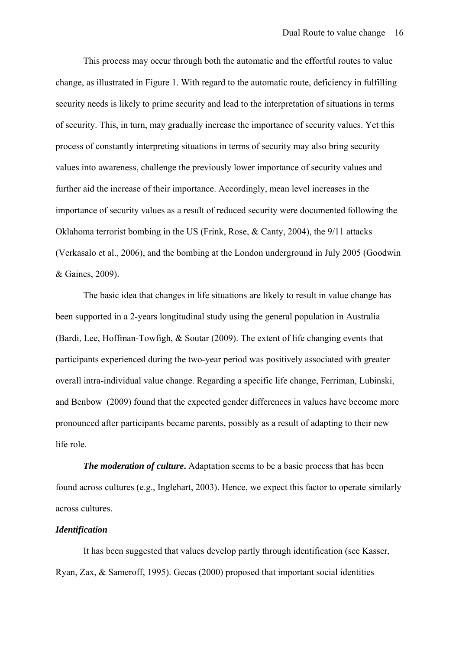This process may occur through both the automatic and the effortful routes to value change, as illustrated in Figure 1. With regard to the automatic route, deficiency in fulfilling security needs is likely to prime security and lead to the interpretation of situations in terms of security. This, in turn, may gradually increase the importance of security values. Yet this process of constantly interpreting situations in terms of security may also bring security values into awareness, challenge the previously lower importance of security values and further aid the increase of their importance. Accordingly, mean level increases in the importance of security values as a result of reduced security were documented following the Oklahoma terrorist bombing in the US (Frink, Rose, & Canty, 2004), the 9/11 attacks (Verkasalo et al., 2006), and the bombing at the London underground in July 2005 (Goodwin & Gaines, 2009).

 The basic idea that changes in life situations are likely to result in value change has been supported in a 2-years longitudinal study using the general population in Australia (Bardi, Lee, Hoffman-Towfigh, & Soutar (2009). The extent of life changing events that participants experienced during the two-year period was positively associated with greater overall intra-individual value change. Regarding a specific life change, Ferriman, Lubinski, and Benbow (2009) found that the expected gender differences in values have become more pronounced after participants became parents, possibly as a result of adapting to their new life role.

*The moderation of culture*. Adaptation seems to be a basic process that has been found across cultures (e.g., Inglehart, 2003). Hence, we expect this factor to operate similarly across cultures.

#### *Identification*

It has been suggested that values develop partly through identification (see Kasser, Ryan, Zax, & Sameroff, 1995). Gecas (2000) proposed that important social identities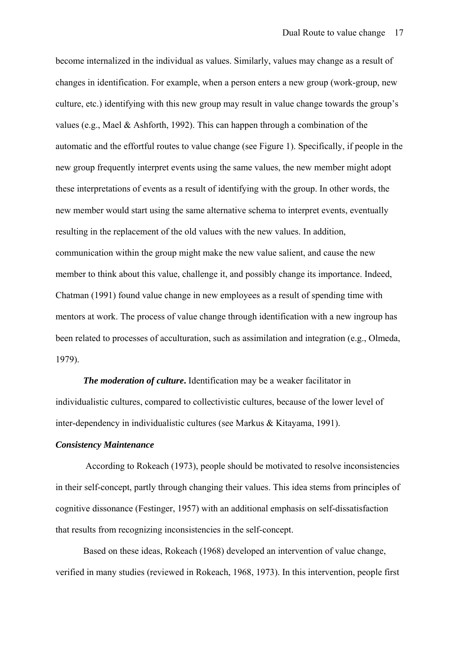become internalized in the individual as values. Similarly, values may change as a result of changes in identification. For example, when a person enters a new group (work-group, new culture, etc.) identifying with this new group may result in value change towards the group's values (e.g., Mael & Ashforth, 1992). This can happen through a combination of the automatic and the effortful routes to value change (see Figure 1). Specifically, if people in the new group frequently interpret events using the same values, the new member might adopt these interpretations of events as a result of identifying with the group. In other words, the new member would start using the same alternative schema to interpret events, eventually resulting in the replacement of the old values with the new values. In addition, communication within the group might make the new value salient, and cause the new member to think about this value, challenge it, and possibly change its importance. Indeed, Chatman (1991) found value change in new employees as a result of spending time with mentors at work. The process of value change through identification with a new ingroup has been related to processes of acculturation, such as assimilation and integration (e.g., Olmeda, 1979).

*The moderation of culture*. Identification may be a weaker facilitator in individualistic cultures, compared to collectivistic cultures, because of the lower level of inter-dependency in individualistic cultures (see Markus & Kitayama, 1991).

#### *Consistency Maintenance*

 According to Rokeach (1973), people should be motivated to resolve inconsistencies in their self-concept, partly through changing their values. This idea stems from principles of cognitive dissonance (Festinger, 1957) with an additional emphasis on self-dissatisfaction that results from recognizing inconsistencies in the self-concept.

Based on these ideas, Rokeach (1968) developed an intervention of value change, verified in many studies (reviewed in Rokeach, 1968, 1973). In this intervention, people first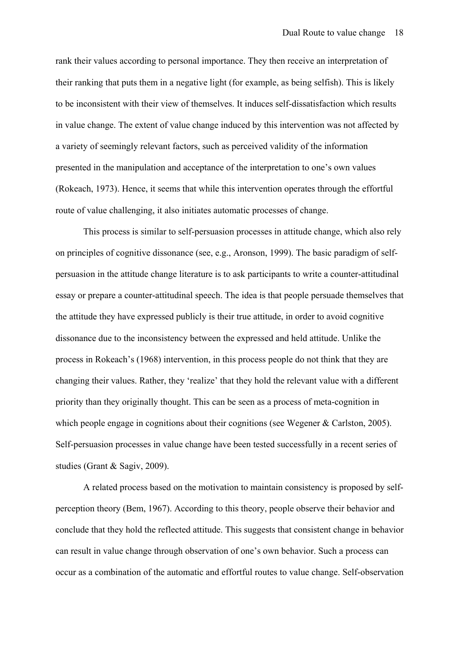rank their values according to personal importance. They then receive an interpretation of their ranking that puts them in a negative light (for example, as being selfish). This is likely to be inconsistent with their view of themselves. It induces self-dissatisfaction which results in value change. The extent of value change induced by this intervention was not affected by a variety of seemingly relevant factors, such as perceived validity of the information presented in the manipulation and acceptance of the interpretation to one's own values (Rokeach, 1973). Hence, it seems that while this intervention operates through the effortful route of value challenging, it also initiates automatic processes of change.

This process is similar to self-persuasion processes in attitude change, which also rely on principles of cognitive dissonance (see, e.g., Aronson, 1999). The basic paradigm of selfpersuasion in the attitude change literature is to ask participants to write a counter-attitudinal essay or prepare a counter-attitudinal speech. The idea is that people persuade themselves that the attitude they have expressed publicly is their true attitude, in order to avoid cognitive dissonance due to the inconsistency between the expressed and held attitude. Unlike the process in Rokeach's (1968) intervention, in this process people do not think that they are changing their values. Rather, they 'realize' that they hold the relevant value with a different priority than they originally thought. This can be seen as a process of meta-cognition in which people engage in cognitions about their cognitions (see Wegener & Carlston, 2005). Self-persuasion processes in value change have been tested successfully in a recent series of studies (Grant & Sagiv, 2009).

A related process based on the motivation to maintain consistency is proposed by selfperception theory (Bem, 1967). According to this theory, people observe their behavior and conclude that they hold the reflected attitude. This suggests that consistent change in behavior can result in value change through observation of one's own behavior. Such a process can occur as a combination of the automatic and effortful routes to value change. Self-observation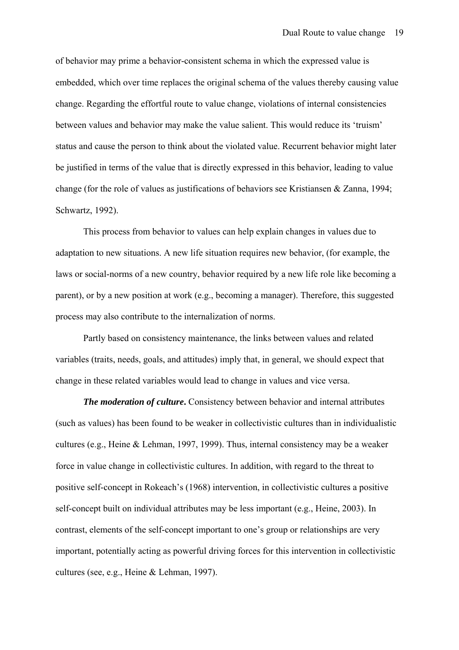of behavior may prime a behavior-consistent schema in which the expressed value is embedded, which over time replaces the original schema of the values thereby causing value change. Regarding the effortful route to value change, violations of internal consistencies between values and behavior may make the value salient. This would reduce its 'truism' status and cause the person to think about the violated value. Recurrent behavior might later be justified in terms of the value that is directly expressed in this behavior, leading to value change (for the role of values as justifications of behaviors see Kristiansen & Zanna, 1994; Schwartz, 1992).

This process from behavior to values can help explain changes in values due to adaptation to new situations. A new life situation requires new behavior, (for example, the laws or social-norms of a new country, behavior required by a new life role like becoming a parent), or by a new position at work (e.g., becoming a manager). Therefore, this suggested process may also contribute to the internalization of norms.

Partly based on consistency maintenance, the links between values and related variables (traits, needs, goals, and attitudes) imply that, in general, we should expect that change in these related variables would lead to change in values and vice versa.

*The moderation of culture*. Consistency between behavior and internal attributes (such as values) has been found to be weaker in collectivistic cultures than in individualistic cultures (e.g., Heine & Lehman, 1997, 1999). Thus, internal consistency may be a weaker force in value change in collectivistic cultures. In addition, with regard to the threat to positive self-concept in Rokeach's (1968) intervention, in collectivistic cultures a positive self-concept built on individual attributes may be less important (e.g., Heine, 2003). In contrast, elements of the self-concept important to one's group or relationships are very important, potentially acting as powerful driving forces for this intervention in collectivistic cultures (see, e.g., Heine & Lehman, 1997).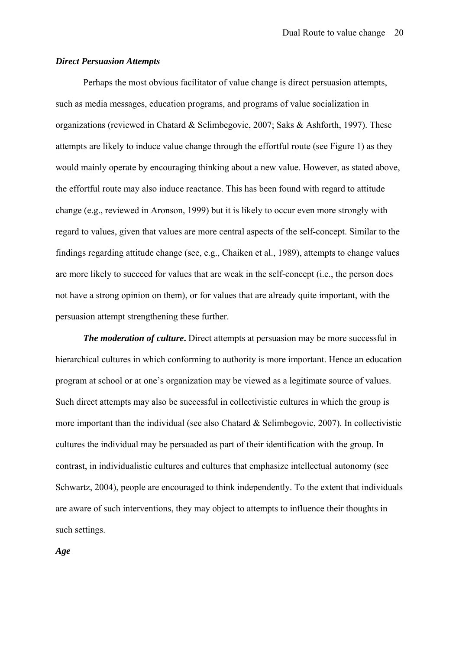#### *Direct Persuasion Attempts*

 Perhaps the most obvious facilitator of value change is direct persuasion attempts, such as media messages, education programs, and programs of value socialization in organizations (reviewed in Chatard & Selimbegovic, 2007; Saks & Ashforth, 1997). These attempts are likely to induce value change through the effortful route (see Figure 1) as they would mainly operate by encouraging thinking about a new value. However, as stated above, the effortful route may also induce reactance. This has been found with regard to attitude change (e.g., reviewed in Aronson, 1999) but it is likely to occur even more strongly with regard to values, given that values are more central aspects of the self-concept. Similar to the findings regarding attitude change (see, e.g., Chaiken et al., 1989), attempts to change values are more likely to succeed for values that are weak in the self-concept (i.e., the person does not have a strong opinion on them), or for values that are already quite important, with the persuasion attempt strengthening these further.

*The moderation of culture*. Direct attempts at persuasion may be more successful in hierarchical cultures in which conforming to authority is more important. Hence an education program at school or at one's organization may be viewed as a legitimate source of values. Such direct attempts may also be successful in collectivistic cultures in which the group is more important than the individual (see also Chatard & Selimbegovic, 2007). In collectivistic cultures the individual may be persuaded as part of their identification with the group. In contrast, in individualistic cultures and cultures that emphasize intellectual autonomy (see Schwartz, 2004), people are encouraged to think independently. To the extent that individuals are aware of such interventions, they may object to attempts to influence their thoughts in such settings.

*Age*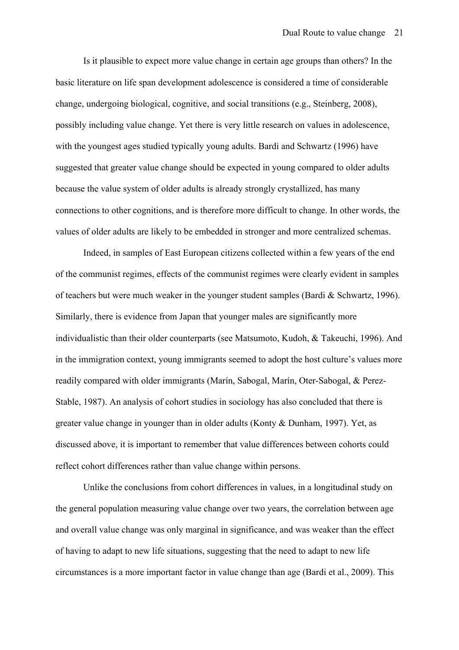Is it plausible to expect more value change in certain age groups than others? In the basic literature on life span development adolescence is considered a time of considerable change, undergoing biological, cognitive, and social transitions (e.g., Steinberg, 2008), possibly including value change. Yet there is very little research on values in adolescence, with the youngest ages studied typically young adults. Bardi and Schwartz (1996) have suggested that greater value change should be expected in young compared to older adults because the value system of older adults is already strongly crystallized, has many connections to other cognitions, and is therefore more difficult to change. In other words, the values of older adults are likely to be embedded in stronger and more centralized schemas.

Indeed, in samples of East European citizens collected within a few years of the end of the communist regimes, effects of the communist regimes were clearly evident in samples of teachers but were much weaker in the younger student samples (Bardi & Schwartz, 1996). Similarly, there is evidence from Japan that younger males are significantly more individualistic than their older counterparts (see Matsumoto, Kudoh, & Takeuchi, 1996). And in the immigration context, young immigrants seemed to adopt the host culture's values more readily compared with older immigrants (Marín, Sabogal, Marín, Oter-Sabogal, & Perez-Stable, 1987). An analysis of cohort studies in sociology has also concluded that there is greater value change in younger than in older adults (Konty & Dunham, 1997). Yet, as discussed above, it is important to remember that value differences between cohorts could reflect cohort differences rather than value change within persons.

Unlike the conclusions from cohort differences in values, in a longitudinal study on the general population measuring value change over two years, the correlation between age and overall value change was only marginal in significance, and was weaker than the effect of having to adapt to new life situations, suggesting that the need to adapt to new life circumstances is a more important factor in value change than age (Bardi et al., 2009). This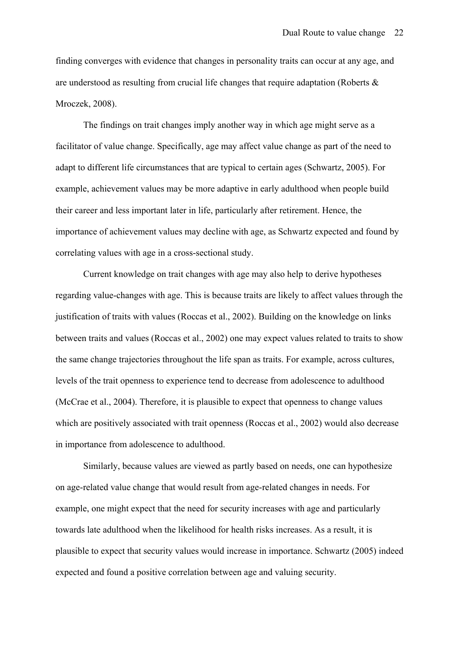finding converges with evidence that changes in personality traits can occur at any age, and are understood as resulting from crucial life changes that require adaptation (Roberts & Mroczek, 2008).

The findings on trait changes imply another way in which age might serve as a facilitator of value change. Specifically, age may affect value change as part of the need to adapt to different life circumstances that are typical to certain ages (Schwartz, 2005). For example, achievement values may be more adaptive in early adulthood when people build their career and less important later in life, particularly after retirement. Hence, the importance of achievement values may decline with age, as Schwartz expected and found by correlating values with age in a cross-sectional study.

Current knowledge on trait changes with age may also help to derive hypotheses regarding value-changes with age. This is because traits are likely to affect values through the justification of traits with values (Roccas et al., 2002). Building on the knowledge on links between traits and values (Roccas et al., 2002) one may expect values related to traits to show the same change trajectories throughout the life span as traits. For example, across cultures, levels of the trait openness to experience tend to decrease from adolescence to adulthood (McCrae et al., 2004). Therefore, it is plausible to expect that openness to change values which are positively associated with trait openness (Roccas et al., 2002) would also decrease in importance from adolescence to adulthood.

Similarly, because values are viewed as partly based on needs, one can hypothesize on age-related value change that would result from age-related changes in needs. For example, one might expect that the need for security increases with age and particularly towards late adulthood when the likelihood for health risks increases. As a result, it is plausible to expect that security values would increase in importance. Schwartz (2005) indeed expected and found a positive correlation between age and valuing security.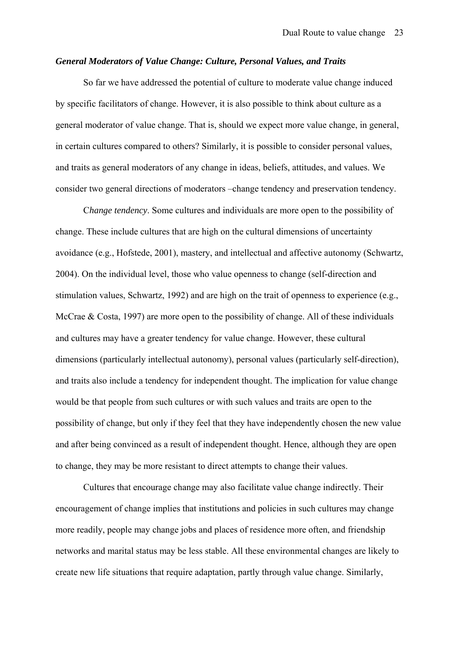#### *General Moderators of Value Change: Culture, Personal Values, and Traits*

 So far we have addressed the potential of culture to moderate value change induced by specific facilitators of change. However, it is also possible to think about culture as a general moderator of value change. That is, should we expect more value change, in general, in certain cultures compared to others? Similarly, it is possible to consider personal values, and traits as general moderators of any change in ideas, beliefs, attitudes, and values. We consider two general directions of moderators –change tendency and preservation tendency.

 C*hange tendency*. Some cultures and individuals are more open to the possibility of change. These include cultures that are high on the cultural dimensions of uncertainty avoidance (e.g., Hofstede, 2001), mastery, and intellectual and affective autonomy (Schwartz, 2004). On the individual level, those who value openness to change (self-direction and stimulation values, Schwartz, 1992) and are high on the trait of openness to experience (e.g., McCrae & Costa, 1997) are more open to the possibility of change. All of these individuals and cultures may have a greater tendency for value change. However, these cultural dimensions (particularly intellectual autonomy), personal values (particularly self-direction), and traits also include a tendency for independent thought. The implication for value change would be that people from such cultures or with such values and traits are open to the possibility of change, but only if they feel that they have independently chosen the new value and after being convinced as a result of independent thought. Hence, although they are open to change, they may be more resistant to direct attempts to change their values.

 Cultures that encourage change may also facilitate value change indirectly. Their encouragement of change implies that institutions and policies in such cultures may change more readily, people may change jobs and places of residence more often, and friendship networks and marital status may be less stable. All these environmental changes are likely to create new life situations that require adaptation, partly through value change. Similarly,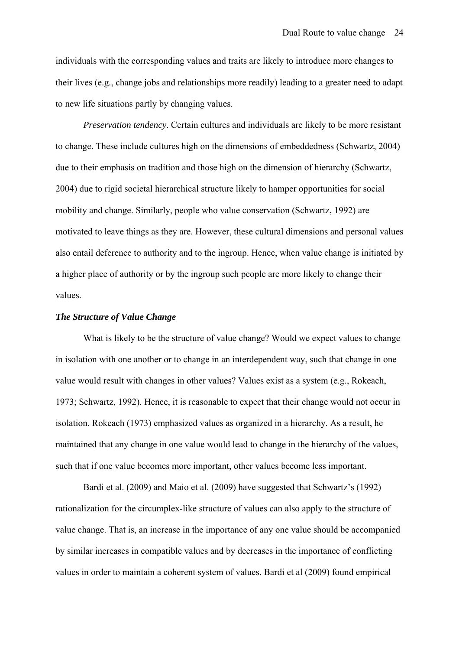individuals with the corresponding values and traits are likely to introduce more changes to their lives (e.g., change jobs and relationships more readily) leading to a greater need to adapt to new life situations partly by changing values.

*Preservation tendency*. Certain cultures and individuals are likely to be more resistant to change. These include cultures high on the dimensions of embeddedness (Schwartz, 2004) due to their emphasis on tradition and those high on the dimension of hierarchy (Schwartz, 2004) due to rigid societal hierarchical structure likely to hamper opportunities for social mobility and change. Similarly, people who value conservation (Schwartz, 1992) are motivated to leave things as they are. However, these cultural dimensions and personal values also entail deference to authority and to the ingroup. Hence, when value change is initiated by a higher place of authority or by the ingroup such people are more likely to change their values.

#### *The Structure of Value Change*

 What is likely to be the structure of value change? Would we expect values to change in isolation with one another or to change in an interdependent way, such that change in one value would result with changes in other values? Values exist as a system (e.g., Rokeach, 1973; Schwartz, 1992). Hence, it is reasonable to expect that their change would not occur in isolation. Rokeach (1973) emphasized values as organized in a hierarchy. As a result, he maintained that any change in one value would lead to change in the hierarchy of the values, such that if one value becomes more important, other values become less important.

Bardi et al. (2009) and Maio et al. (2009) have suggested that Schwartz's (1992) rationalization for the circumplex-like structure of values can also apply to the structure of value change. That is, an increase in the importance of any one value should be accompanied by similar increases in compatible values and by decreases in the importance of conflicting values in order to maintain a coherent system of values. Bardi et al (2009) found empirical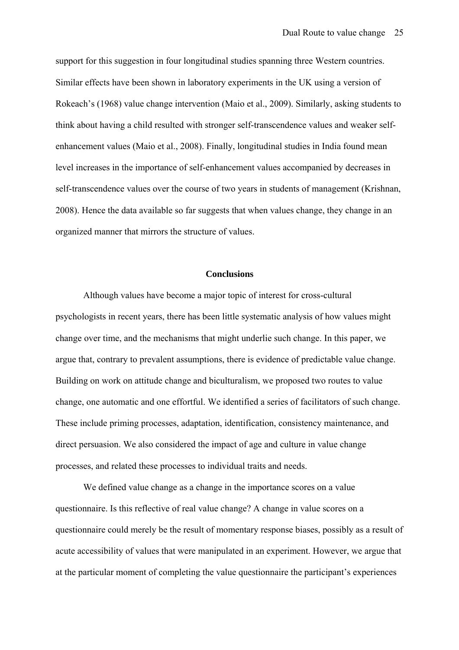support for this suggestion in four longitudinal studies spanning three Western countries. Similar effects have been shown in laboratory experiments in the UK using a version of Rokeach's (1968) value change intervention (Maio et al., 2009). Similarly, asking students to think about having a child resulted with stronger self-transcendence values and weaker selfenhancement values (Maio et al., 2008). Finally, longitudinal studies in India found mean level increases in the importance of self-enhancement values accompanied by decreases in self-transcendence values over the course of two years in students of management (Krishnan, 2008). Hence the data available so far suggests that when values change, they change in an organized manner that mirrors the structure of values.

#### **Conclusions**

Although values have become a major topic of interest for cross-cultural psychologists in recent years, there has been little systematic analysis of how values might change over time, and the mechanisms that might underlie such change. In this paper, we argue that, contrary to prevalent assumptions, there is evidence of predictable value change. Building on work on attitude change and biculturalism, we proposed two routes to value change, one automatic and one effortful. We identified a series of facilitators of such change. These include priming processes, adaptation, identification, consistency maintenance, and direct persuasion. We also considered the impact of age and culture in value change processes, and related these processes to individual traits and needs.

We defined value change as a change in the importance scores on a value questionnaire. Is this reflective of real value change? A change in value scores on a questionnaire could merely be the result of momentary response biases, possibly as a result of acute accessibility of values that were manipulated in an experiment. However, we argue that at the particular moment of completing the value questionnaire the participant's experiences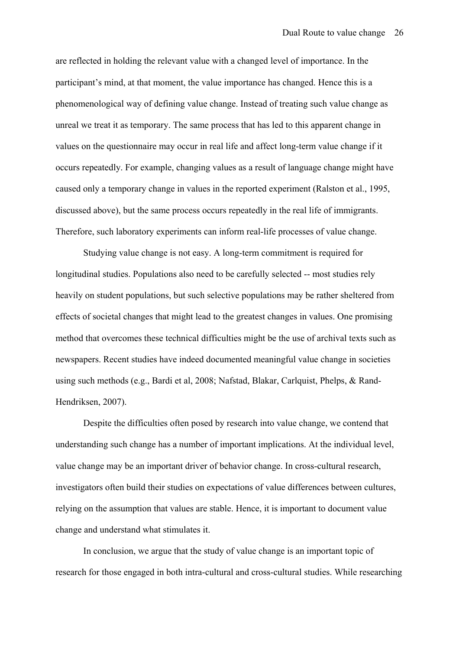are reflected in holding the relevant value with a changed level of importance. In the participant's mind, at that moment, the value importance has changed. Hence this is a phenomenological way of defining value change. Instead of treating such value change as unreal we treat it as temporary. The same process that has led to this apparent change in values on the questionnaire may occur in real life and affect long-term value change if it occurs repeatedly. For example, changing values as a result of language change might have caused only a temporary change in values in the reported experiment (Ralston et al., 1995, discussed above), but the same process occurs repeatedly in the real life of immigrants. Therefore, such laboratory experiments can inform real-life processes of value change.

Studying value change is not easy. A long-term commitment is required for longitudinal studies. Populations also need to be carefully selected -- most studies rely heavily on student populations, but such selective populations may be rather sheltered from effects of societal changes that might lead to the greatest changes in values. One promising method that overcomes these technical difficulties might be the use of archival texts such as newspapers. Recent studies have indeed documented meaningful value change in societies using such methods (e.g., Bardi et al, 2008; Nafstad, Blakar, Carlquist, Phelps, & Rand-Hendriksen, 2007).

 Despite the difficulties often posed by research into value change, we contend that understanding such change has a number of important implications. At the individual level, value change may be an important driver of behavior change. In cross-cultural research, investigators often build their studies on expectations of value differences between cultures, relying on the assumption that values are stable. Hence, it is important to document value change and understand what stimulates it.

 In conclusion, we argue that the study of value change is an important topic of research for those engaged in both intra-cultural and cross-cultural studies. While researching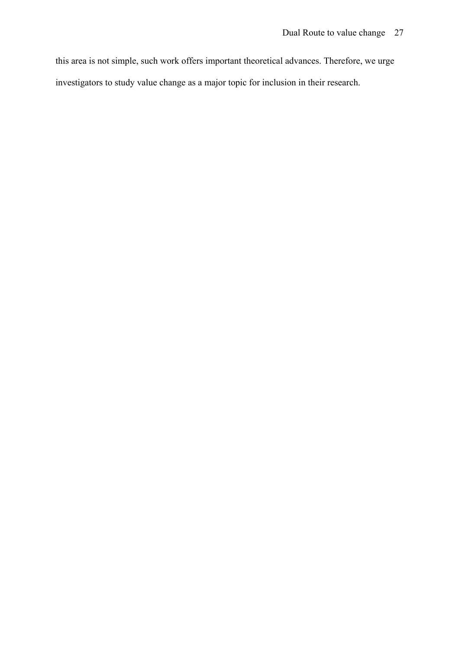this area is not simple, such work offers important theoretical advances. Therefore, we urge investigators to study value change as a major topic for inclusion in their research.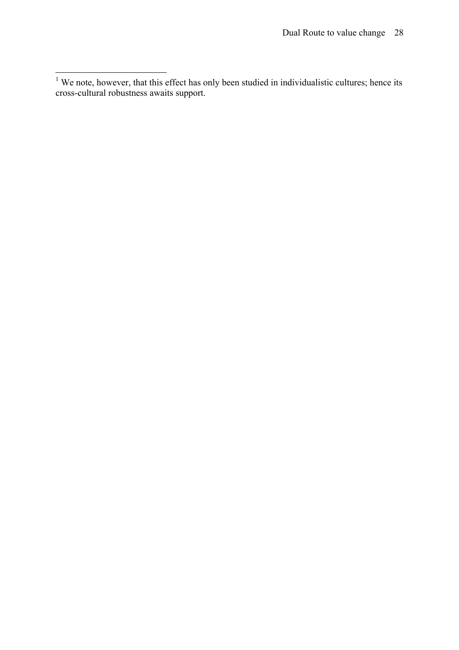<sup>&</sup>lt;sup>1</sup> We note, however, that this effect has only been studied in individualistic cultures; hence its cross-cultural robustness awaits support.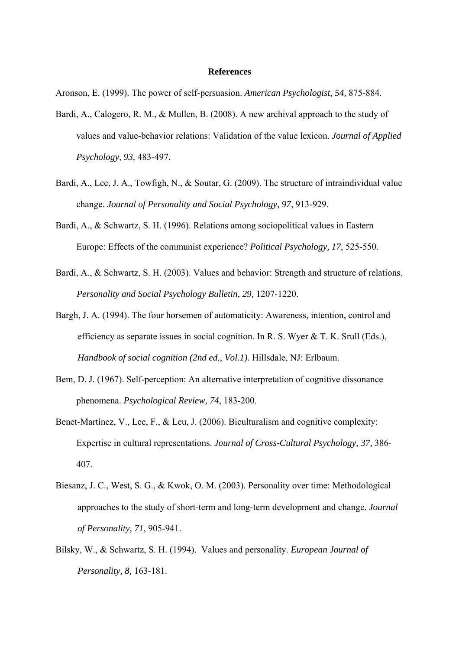#### **References**

Aronson, E. (1999). The power of self-persuasion. *American Psychologist, 54,* 875-884.

- Bardi, A., Calogero, R. M., & Mullen, B. (2008). A new archival approach to the study of values and value-behavior relations: Validation of the value lexicon. *Journal of Applied Psychology, 93,* 483-497.
- Bardi, A., Lee, J. A., Towfigh, N., & Soutar, G. (2009). The structure of intraindividual value change. *Journal of Personality and Social Psychology, 97,* 913-929.
- Bardi, A., & Schwartz, S. H. (1996). Relations among sociopolitical values in Eastern Europe: Effects of the communist experience? *Political Psychology, 17*, 525-550.
- Bardi, A., & Schwartz, S. H. (2003). Values and behavior: Strength and structure of relations. *Personality and Social Psychology Bulletin, 29,* 1207-1220.
- Bargh, J. A. (1994). The four horsemen of automaticity: Awareness, intention, control and efficiency as separate issues in social cognition. In R. S. Wyer & T. K. Srull (Eds.), *Handbook of social cognition (2nd ed., Vol.1).* Hillsdale, NJ: Erlbaum.
- Bem, D. J. (1967). Self-perception: An alternative interpretation of cognitive dissonance phenomena. *Psychological Review, 74*, 183-200.
- Benet-Martínez, V., Lee, F., & Leu, J. (2006). Biculturalism and cognitive complexity: Expertise in cultural representations. *Journal of Cross-Cultural Psychology, 37,* 386- 407.
- Biesanz, J. C., West, S. G., & Kwok, O. M. (2003). Personality over time: Methodological approaches to the study of short-term and long-term development and change. *Journal of Personality, 71*, 905-941.
- Bilsky, W., & Schwartz, S. H. (1994). Values and personality. *European Journal of Personality, 8,* 163-181.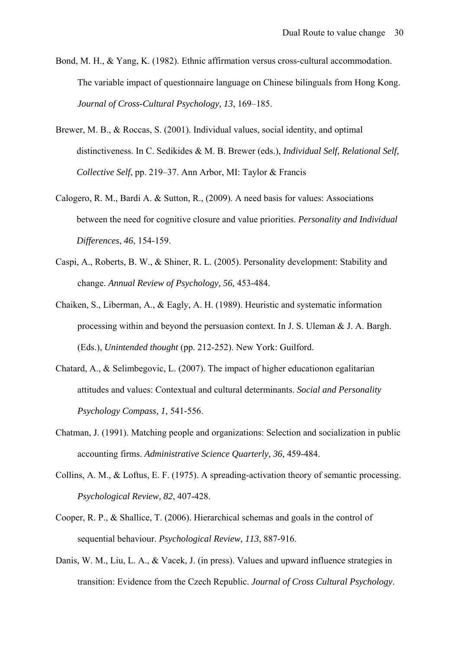- Bond, M. H., & Yang, K. (1982). Ethnic affirmation versus cross-cultural accommodation. The variable impact of questionnaire language on Chinese bilinguals from Hong Kong. *Journal of Cross-Cultural Psychology, 13*, 169–185.
- Brewer, M. B., & Roccas, S. (2001). Individual values, social identity, and optimal distinctiveness. In C. Sedikides & M. B. Brewer (eds.), *Individual Self, Relational Self, Collective Self*, pp. 219–37. Ann Arbor, MI: Taylor & Francis
- Calogero, R. M., Bardi A. & Sutton, R., (2009). A need basis for values: Associations between the need for cognitive closure and value priorities. *Personality and Individual Differences*, *46*, 154-159.
- Caspi, A., Roberts, B. W., & Shiner, R. L. (2005). Personality development: Stability and change. *Annual Review of Psychology, 56,* 453-484.
- Chaiken, S., Liberman, A., & Eagly, A. H. (1989). Heuristic and systematic information processing within and beyond the persuasion context. In J. S. Uleman & J. A. Bargh. (Eds.), *Unintended thought* (pp. 212-252). New York: Guilford.
- Chatard, A., & Selimbegovic, L. (2007). The impact of higher educationon egalitarian attitudes and values: Contextual and cultural determinants. *Social and Personality Psychology Compass, 1,* 541-556.
- Chatman, J. (1991). Matching people and organizations: Selection and socialization in public accounting firms. *Administrative Science Quarterly, 36,* 459-484.
- Collins, A. M., & Loftus, E. F. (1975). A spreading-activation theory of semantic processing. *Psychological Review, 82*, 407-428.
- Cooper, R. P., & Shallice, T. (2006). Hierarchical schemas and goals in the control of sequential behaviour. *Psychological Review, 113*, 887-916.
- Danis, W. M., Liu, L. A., & Vacek, J. (in press). Values and upward influence strategies in transition: Evidence from the Czech Republic. *Journal of Cross Cultural Psychology*.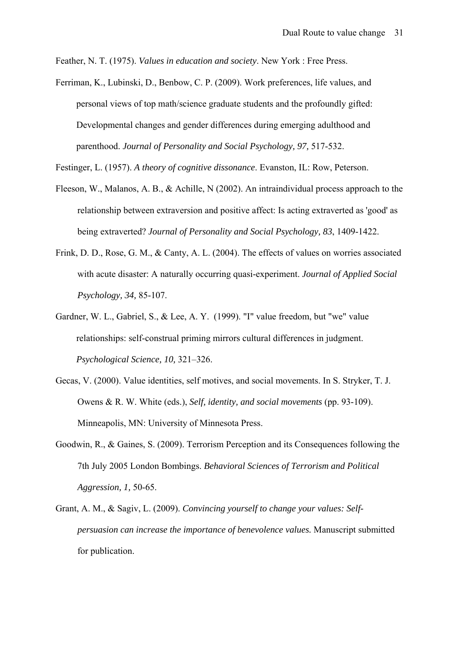Feather, N. T. (1975). *Values in education and society*. New York : Free Press.

Ferriman, K., Lubinski, D., Benbow, C. P. (2009). Work preferences, life values, and personal views of top math/science graduate students and the profoundly gifted: Developmental changes and gender differences during emerging adulthood and parenthood. *Journal of Personality and Social Psychology, 97,* 517-532.

Festinger, L. (1957). *A theory of cognitive dissonance*. Evanston, IL: Row, Peterson.

- Fleeson, W., Malanos, A. B., & Achille, N (2002). An intraindividual process approach to the relationship between extraversion and positive affect: Is acting extraverted as 'good' as being extraverted? *Journal of Personality and Social Psychology, 83*, 1409-1422.
- Frink, D. D., Rose, G. M., & Canty, A. L. (2004). The effects of values on worries associated with acute disaster: A naturally occurring quasi-experiment. *Journal of Applied Social Psychology, 34,* 85-107.
- Gardner, W. L., Gabriel, S., & Lee, A. Y. (1999). "I" value freedom, but "we" value relationships: self-construal priming mirrors cultural differences in judgment. *Psychological Science, 10,* 321–326.
- Gecas, V. (2000). Value identities, self motives, and social movements. In S. Stryker, T. J. Owens & R. W. White (eds.), *Self, identity, and social movements* (pp. 93-109). Minneapolis, MN: University of Minnesota Press.
- Goodwin, R., & Gaines, S. (2009). Terrorism Perception and its Consequences following the 7th July 2005 London Bombings. *Behavioral Sciences of Terrorism and Political Aggression, 1,* 50-65.
- Grant, A. M., & Sagiv, L. (2009). *Convincing yourself to change your values: Selfpersuasion can increase the importance of benevolence values.* Manuscript submitted for publication.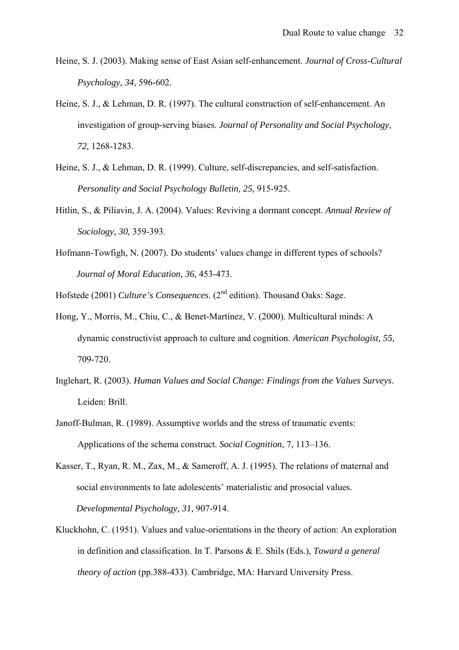- Heine, S. J. (2003). Making sense of East Asian self-enhancement. *Journal of Cross-Cultural Psychology, 34,* 596-602.
- Heine, S. J., & Lehman, D. R. (1997). The cultural construction of self-enhancement. An investigation of group-serving biases. *Journal of Personality and Social Psychology, 72,* 1268-1283.
- Heine, S. J., & Lehman, D. R. (1999). Culture, self-discrepancies, and self-satisfaction. *Personality and Social Psychology Bulletin, 25,* 915-925.
- Hitlin, S., & Piliavin, J. A. (2004). Values: Reviving a dormant concept. *Annual Review of Sociology, 30,* 359-393.
- Hofmann-Towfigh, N. (2007). Do students' values change in different types of schools? *Journal of Moral Education, 36,* 453-473.

Hofstede (2001) *Culture's Consequences*. (2nd edition). Thousand Oaks: Sage.

- Hong, Y., Morris, M., Chiu, C., & Benet-Martínez, V. (2000). Multicultural minds: A dynamic constructivist approach to culture and cognition. *American Psychologist, 55,* 709-720.
- Inglehart, R. (2003). *Human Values and Social Change: Findings from the Values Surveys*. Leiden: Brill.
- Janoff-Bulman, R. (1989). Assumptive worlds and the stress of traumatic events: Applications of the schema construct. *Social Cognition,* 7, 113–136.
- Kasser, T., Ryan, R. M., Zax, M., & Sameroff, A. J. (1995). The relations of maternal and social environments to late adolescents' materialistic and prosocial values. *Developmental Psychology, 31,* 907-914.
- Kluckhohn, C. (1951). Values and value-orientations in the theory of action: An exploration in definition and classification. In T. Parsons & E. Shils (Eds.), *Toward a general theory of action* (pp.388-433). Cambridge, MA: Harvard University Press.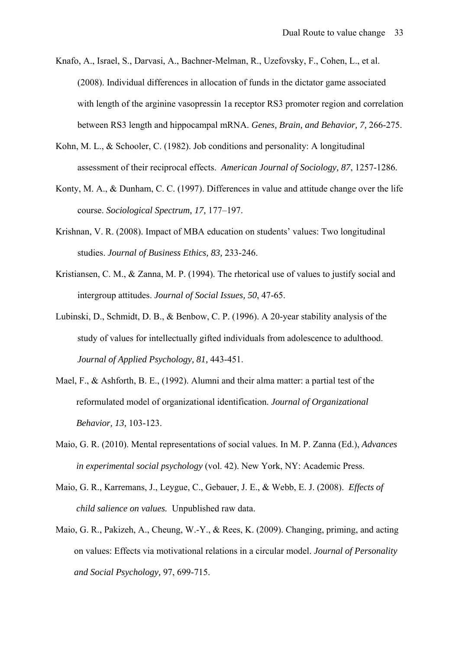- Knafo, A., Israel, S., Darvasi, A., Bachner-Melman, R., Uzefovsky, F., Cohen, L., et al. (2008). Individual differences in allocation of funds in the dictator game associated with length of the arginine vasopressin 1a receptor RS3 promoter region and correlation between RS3 length and hippocampal mRNA. *Genes, Brain, and Behavior, 7,* 266-275.
- Kohn, M. L., & Schooler, C. (1982). Job conditions and personality: A longitudinal assessment of their reciprocal effects. *American Journal of Sociology, 87*, 1257-1286.
- Konty, M. A., & Dunham, C. C. (1997). Differences in value and attitude change over the life course. *Sociological Spectrum, 17,* 177–197.
- Krishnan, V. R. (2008). Impact of MBA education on students' values: Two longitudinal studies. *Journal of Business Ethics, 83,* 233-246.
- Kristiansen, C. M., & Zanna, M. P. (1994). The rhetorical use of values to justify social and intergroup attitudes. *Journal of Social Issues, 50*, 47-65.
- Lubinski, D., Schmidt, D. B., & Benbow, C. P. (1996). A 20-year stability analysis of the study of values for intellectually gifted individuals from adolescence to adulthood. *Journal of Applied Psychology, 81,* 443-451.
- Mael, F., & Ashforth, B. E., (1992). Alumni and their alma matter: a partial test of the reformulated model of organizational identification. *Journal of Organizational Behavior, 13,* 103-123.
- Maio, G. R. (2010). Mental representations of social values. In M. P. Zanna (Ed.), *Advances in experimental social psychology* (vol. 42). New York, NY: Academic Press.
- Maio, G. R., Karremans, J., Leygue, C., Gebauer, J. E., & Webb, E. J. (2008). *Effects of child salience on values.* Unpublished raw data.
- Maio, G. R., Pakizeh, A., Cheung, W.-Y., & Rees, K. (2009). Changing, priming, and acting on values: Effects via motivational relations in a circular model. *Journal of Personality and Social Psychology,* 97, 699-715.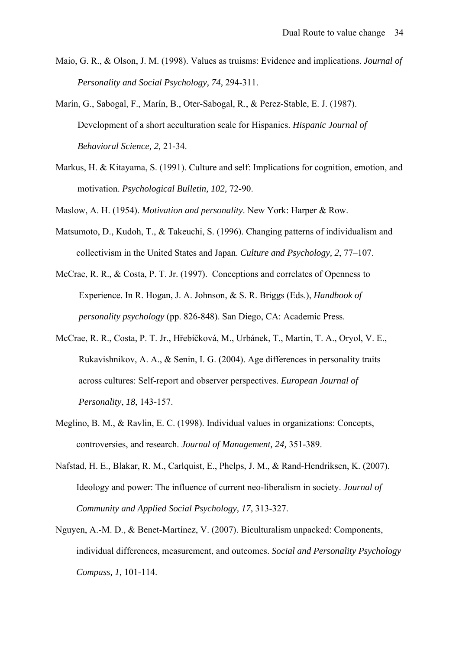Maio, G. R., & Olson, J. M. (1998). Values as truisms: Evidence and implications. *Journal of Personality and Social Psychology, 74,* 294-311.

Marín, G., Sabogal, F., Marín, B., Oter-Sabogal, R., & Perez-Stable, E. J. (1987). Development of a short acculturation scale for Hispanics. *Hispanic Journal of Behavioral Science, 2,* 21-34.

Markus, H. & Kitayama, S. (1991). Culture and self: Implications for cognition, emotion, and motivation. *Psychological Bulletin, 102,* 72-90.

Maslow, A. H. (1954). *Motivation and personality*. New York: Harper & Row.

- Matsumoto, D., Kudoh, T., & Takeuchi, S. (1996). Changing patterns of individualism and collectivism in the United States and Japan. *Culture and Psychology, 2*, 77–107.
- McCrae, R. R., & Costa, P. T. Jr. (1997).Conceptions and correlates of Openness to Experience. In R. Hogan, J. A. Johnson, & S. R. Briggs (Eds.), *Handbook of personality psychology* (pp. 826-848). San Diego, CA: Academic Press.
- McCrae, R. R., Costa, P. T. Jr., Hřebíčková, M., Urbánek, T., Martin, T. A., Oryol, V. E., Rukavishnikov, A. A., & Senin, I. G. (2004). Age differences in personality traits across cultures: Self-report and observer perspectives. *European Journal of Personality*, *18*, 143-157.
- Meglino, B. M., & Ravlin, E. C. (1998). Individual values in organizations: Concepts, controversies, and research. *Journal of Management, 24,* 351-389.
- Nafstad, H. E., Blakar, R. M., Carlquist, E., Phelps, J. M., & Rand-Hendriksen, K. (2007). Ideology and power: The influence of current neo-liberalism in society. *Journal of Community and Applied Social Psychology, 17*, 313-327.
- Nguyen, A.-M. D., & Benet-Martínez, V. (2007). Biculturalism unpacked: Components, individual differences, measurement, and outcomes. *Social and Personality Psychology Compass, 1,* 101-114.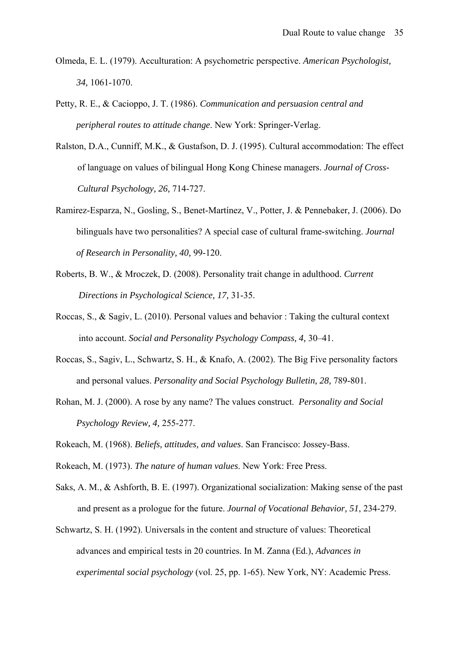- Olmeda, E. L. (1979). Acculturation: A psychometric perspective. *American Psychologist, 34,* 1061-1070.
- Petty, R. E., & Cacioppo, J. T. (1986). *Communication and persuasion central and peripheral routes to attitude change*. New York: Springer-Verlag.
- Ralston, D.A., Cunniff, M.K., & Gustafson, D. J. (1995). Cultural accommodation: The effect of language on values of bilingual Hong Kong Chinese managers. *Journal of Cross-Cultural Psychology, 26,* 714-727.
- Ramirez-Esparza, N., Gosling, S., Benet-Martínez, V., Potter, J. & Pennebaker, J. (2006). Do bilinguals have two personalities? A special case of cultural frame-switching. *Journal of Research in Personality, 40,* 99-120.
- Roberts, B. W., & Mroczek, D. (2008). Personality trait change in adulthood. *Current Directions in Psychological Science, 17,* 31-35.
- Roccas, S., & Sagiv, L. (2010). Personal values and behavior : Taking the cultural context into account. *Social and Personality Psychology Compass, 4,* 30–41.
- Roccas, S., Sagiv, L., Schwartz, S. H., & Knafo, A. (2002). The Big Five personality factors and personal values. *Personality and Social Psychology Bulletin, 28,* 789-801.
- Rohan, M. J. (2000). A rose by any name? The values construct. *Personality and Social Psychology Review, 4,* 255-277.
- Rokeach, M. (1968). *Beliefs, attitudes, and values*. San Francisco: Jossey-Bass.
- Rokeach, M. (1973). *The nature of human values*. New York: Free Press.
- Saks, A. M., & Ashforth, B. E. (1997). Organizational socialization: Making sense of the past and present as a prologue for the future. *Journal of Vocational Behavior, 51*, 234-279.
- Schwartz, S. H. (1992). Universals in the content and structure of values: Theoretical advances and empirical tests in 20 countries. In M. Zanna (Ed.), *Advances in experimental social psychology* (vol. 25, pp. 1-65). New York, NY: Academic Press.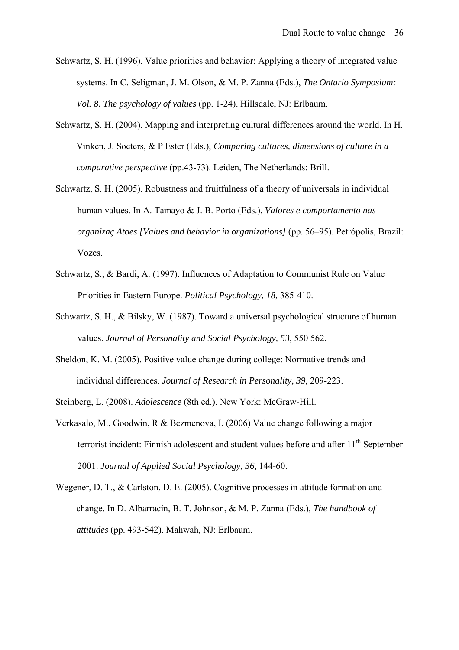- Schwartz, S. H. (1996). Value priorities and behavior: Applying a theory of integrated value systems. In C. Seligman, J. M. Olson, & M. P. Zanna (Eds.), *The Ontario Symposium: Vol. 8. The psychology of values* (pp. 1-24). Hillsdale, NJ: Erlbaum.
- Schwartz, S. H. (2004). Mapping and interpreting cultural differences around the world. In H. Vinken, J. Soeters, & P Ester (Eds.), *Comparing cultures, dimensions of culture in a comparative perspective* (pp.43-73). Leiden, The Netherlands: Brill.
- Schwartz, S. H. (2005). Robustness and fruitfulness of a theory of universals in individual human values. In A. Tamayo & J. B. Porto (Eds.), *Valores e comportamento nas organizaç Atoes [Values and behavior in organizations]* (pp. 56–95). Petrópolis, Brazil: Vozes.
- Schwartz, S., & Bardi, A. (1997). Influences of Adaptation to Communist Rule on Value Priorities in Eastern Europe. *Political Psychology, 18,* 385-410.
- Schwartz, S. H., & Bilsky, W. (1987). Toward a universal psychological structure of human values. *Journal of Personality and Social Psychology, 53*, 550 562.
- Sheldon, K. M. (2005). Positive value change during college: Normative trends and individual differences. *Journal of Research in Personality, 39*, 209-223.
- Steinberg, L. (2008). *Adolescence* (8th ed.). New York: McGraw-Hill.
- Verkasalo, M., Goodwin, R & Bezmenova, I. (2006) Value change following a major terrorist incident: Finnish adolescent and student values before and after  $11<sup>th</sup>$  September 2001. *Journal of Applied Social Psychology, 36,* 144-60.
- Wegener, D. T., & Carlston, D. E. (2005). Cognitive processes in attitude formation and change. In D. Albarracín, B. T. Johnson, & M. P. Zanna (Eds.), *The handbook of attitudes* (pp. 493-542). Mahwah, NJ: Erlbaum.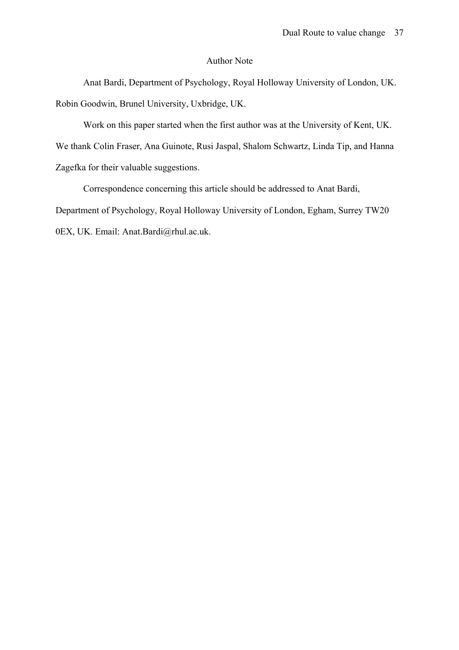#### Author Note

 Anat Bardi, Department of Psychology, Royal Holloway University of London, UK. Robin Goodwin, Brunel University, Uxbridge, UK.

 Work on this paper started when the first author was at the University of Kent, UK. We thank Colin Fraser, Ana Guinote, Rusi Jaspal, Shalom Schwartz, Linda Tip, and Hanna Zagefka for their valuable suggestions.

 Correspondence concerning this article should be addressed to Anat Bardi, Department of Psychology, Royal Holloway University of London, Egham, Surrey TW20 0EX, UK. Email: Anat.Bardi@rhul.ac.uk.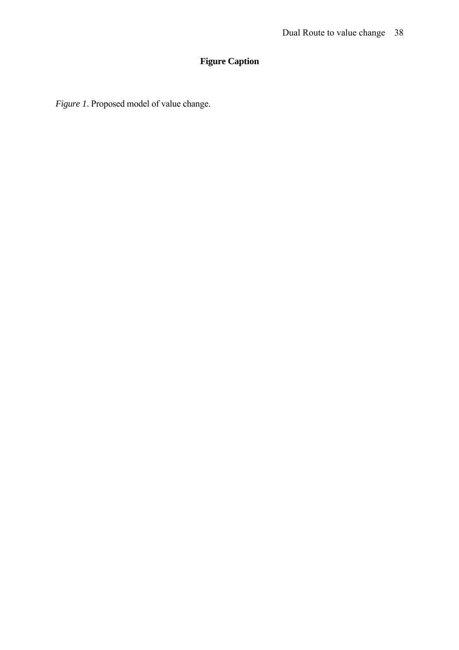# **Figure Caption**

*Figure 1*. Proposed model of value change.